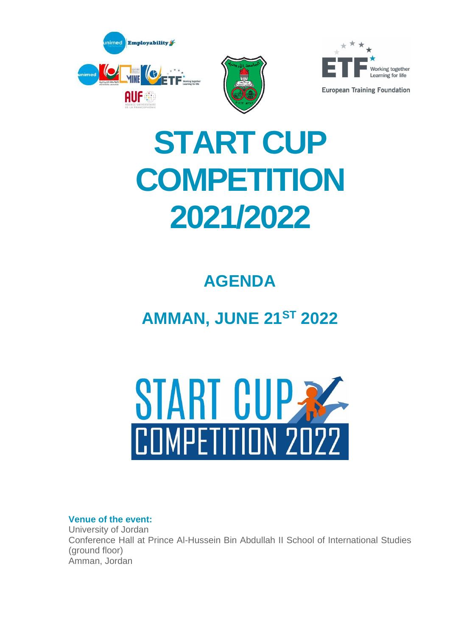



# **START CUP COMPETITION 2021/2022**

# **AGENDA**

# **AMMAN, JUNE 21ST 2022**



## **Venue of the event:**

University of Jordan Conference Hall at Prince Al-Hussein Bin Abdullah II School of International Studies (ground floor) Amman, Jordan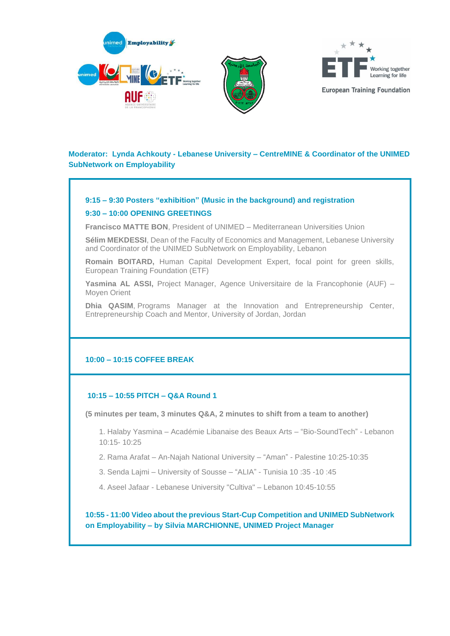





### **Moderator: Lynda Achkouty - Lebanese University – CentreMINE & Coordinator of the UNIMED SubNetwork on Employability**

#### **9:15 – 9:30 Posters "exhibition" (Music in the background) and registration**

#### **9:30 – 10:00 OPENING GREETINGS**

**Francisco MATTE BON**, President of UNIMED – Mediterranean Universities Union

**Sélim MEKDESSI**, Dean of the Faculty of Economics and Management, Lebanese University and Coordinator of the UNIMED SubNetwork on Employability, Lebanon

**Romain BOITARD,** Human Capital Development Expert, focal point for green skills, European Training Foundation (ETF)

**Yasmina AL ASSI,** Project Manager, Agence Universitaire de la Francophonie (AUF) – Moyen Orient

**Dhia QASIM**, Programs Manager at the Innovation and Entrepreneurship Center, Entrepreneurship Coach and Mentor, University of Jordan, Jordan

#### **10:00 – 10:15 COFFEE BREAK**

#### **10:15 – 10:55 PITCH – Q&A Round 1**

**(5 minutes per team, 3 minutes Q&A, 2 minutes to shift from a team to another)**

1. Halaby Yasmina – Académie Libanaise des Beaux Arts – "Bio-SoundTech" - Lebanon 10:15- 10:25

- 2. Rama Arafat An-Najah National University "Aman" Palestine 10:25-10:35
- 3. Senda Lajmi University of Sousse "ALIA" Tunisia 10 :35 -10 :45
- 4. Aseel Jafaar Lebanese University "Cultiva" Lebanon 10:45-10:55

**10:55 - 11:00 Video about the previous Start-Cup Competition and UNIMED SubNetwork on Employability – by Silvia MARCHIONNE, UNIMED Project Manager**